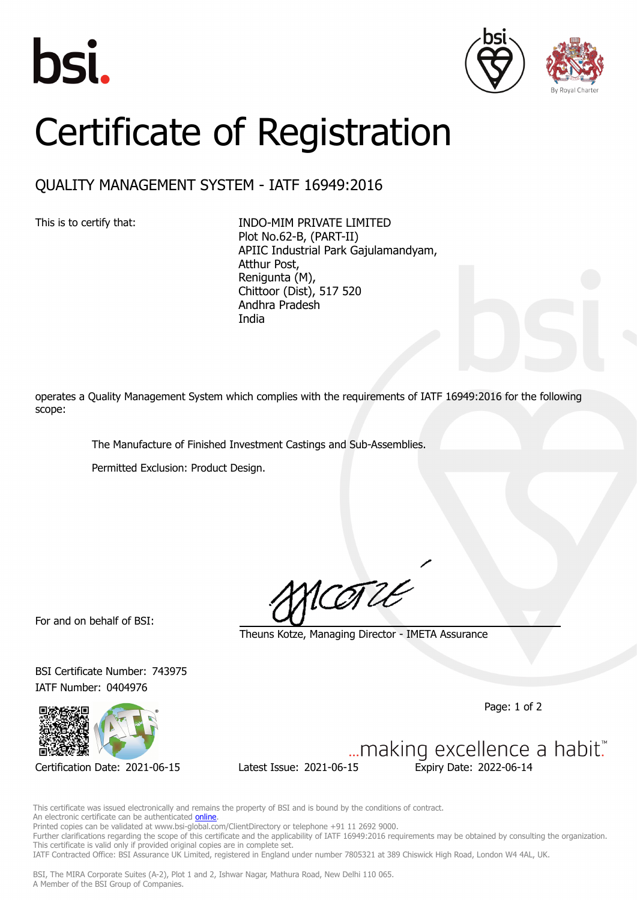





## Certificate of Registration

## QUALITY MANAGEMENT SYSTEM - IATF 16949:2016

This is to certify that: INDO-MIM PRIVATE LIMITED Plot No.62-B, (PART-II) APIIC Industrial Park Gajulamandyam, Atthur Post, Renigunta (M), Chittoor (Dist), 517 520 Andhra Pradesh India

operates a Quality Management System which complies with the requirements of IATF 16949:2016 for the following scope:

The Manufacture of Finished Investment Castings and Sub-Assemblies.

Permitted Exclusion: Product Design.

For and on behalf of BSI:

COTLE

Theuns Kotze, Managing Director - IMETA Assurance

BSI Certificate Number: 743975 IATF Number: 0404976



Certification Date: 2021-06-15 Latest Issue: 2021-06-15 Expiry Date: 2022-06-14

Page: 1 of 2

... making excellence a habit."

This certificate was issued electronically and remains the property of BSI and is bound by the conditions of contract. An electronic certificate can be authenticated **online**. Printed copies can be validated at www.bsi-global.com/ClientDirectory or telephone +91 11 2692 9000.

Further clarifications regarding the scope of this certificate and the applicability of IATF 16949:2016 requirements may be obtained by consulting the organization. This certificate is valid only if provided original copies are in complete set.

IATF Contracted Office: BSI Assurance UK Limited, registered in England under number 7805321 at 389 Chiswick High Road, London W4 4AL, UK.

BSI, The MIRA Corporate Suites (A-2), Plot 1 and 2, Ishwar Nagar, Mathura Road, New Delhi 110 065. A Member of the BSI Group of Companies.